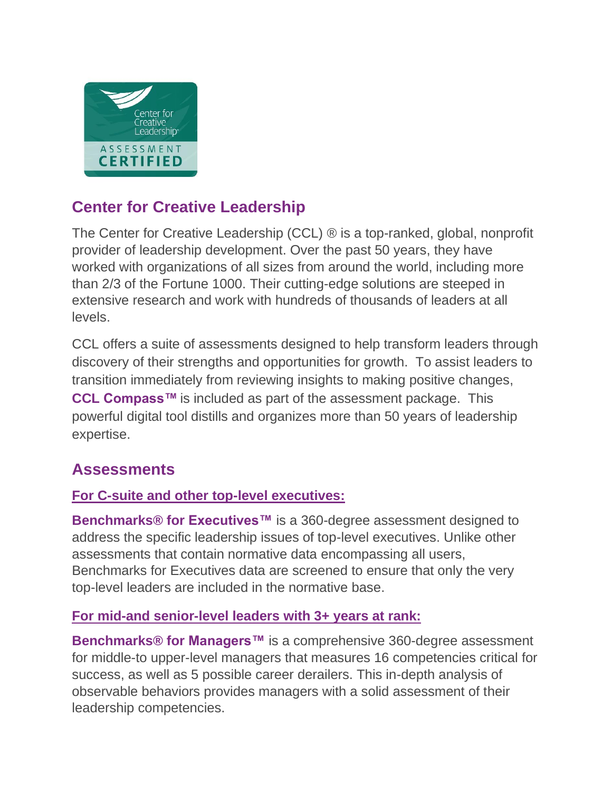

# **Center for Creative Leadership**

The Center for Creative Leadership (CCL) ® is a top-ranked, global, nonprofit provider of leadership development. Over the past 50 years, they have worked with organizations of all sizes from around the world, including more than 2/3 of the Fortune 1000. Their cutting-edge solutions are steeped in extensive research and work with hundreds of thousands of leaders at all levels.

CCL offers a suite of assessments designed to help transform leaders through discovery of their strengths and opportunities for growth. To assist leaders to transition immediately from reviewing insights to making positive changes, **CCL Compass™** is included as part of the assessment package. This powerful digital tool distills and organizes more than 50 years of leadership expertise.

# **Assessments**

## **For C-suite and other top-level executives:**

**Benchmarks® for Executives™** is a 360-degree assessment designed to address the specific leadership issues of top-level executives. Unlike other assessments that contain normative data encompassing all users, Benchmarks for Executives data are screened to ensure that only the very top-level leaders are included in the normative base.

### **For mid-and senior-level leaders with 3+ years at rank:**

**Benchmarks® for Managers™** is a comprehensive 360-degree assessment for middle-to upper-level managers that measures 16 competencies critical for success, as well as 5 possible career derailers. This in-depth analysis of observable behaviors provides managers with a solid assessment of their leadership competencies.